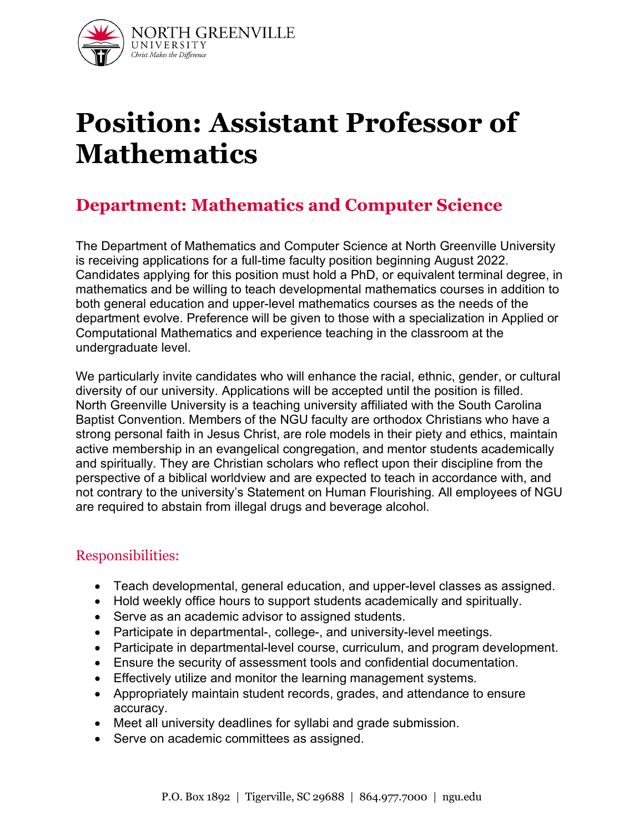

# **Position: Assistant Professor of Mathematics**

## **Department: Mathematics and Computer Science**

The Department of Mathematics and Computer Science at North Greenville University is receiving applications for a full-time faculty position beginning August 2022. Candidates applying for this position must hold a PhD, or equivalent terminal degree, in mathematics and be willing to teach developmental mathematics courses in addition to both general education and upper-level mathematics courses as the needs of the department evolve. Preference will be given to those with a specialization in Applied or Computational Mathematics and experience teaching in the classroom at the undergraduate level.

We particularly invite candidates who will enhance the racial, ethnic, gender, or cultural diversity of our university. Applications will be accepted until the position is filled. North Greenville University is a teaching university affiliated with the South Carolina Baptist Convention. Members of the NGU faculty are orthodox Christians who have a strong personal faith in Jesus Christ, are role models in their piety and ethics, maintain active membership in an evangelical congregation, and mentor students academically and spiritually. They are Christian scholars who reflect upon their discipline from the perspective of a biblical worldview and are expected to teach in accordance with, and not contrary to the university's Statement on Human Flourishing. All employees of NGU are required to abstain from illegal drugs and beverage alcohol.

## Responsibilities:

- Teach developmental, general education, and upper-level classes as assigned.
- Hold weekly office hours to support students academically and spiritually.
- Serve as an academic advisor to assigned students.
- Participate in departmental-, college-, and university-level meetings.
- Participate in departmental-level course, curriculum, and program development.
- Ensure the security of assessment tools and confidential documentation.
- Effectively utilize and monitor the learning management systems.
- Appropriately maintain student records, grades, and attendance to ensure accuracy.
- Meet all university deadlines for syllabi and grade submission.
- Serve on academic committees as assigned.